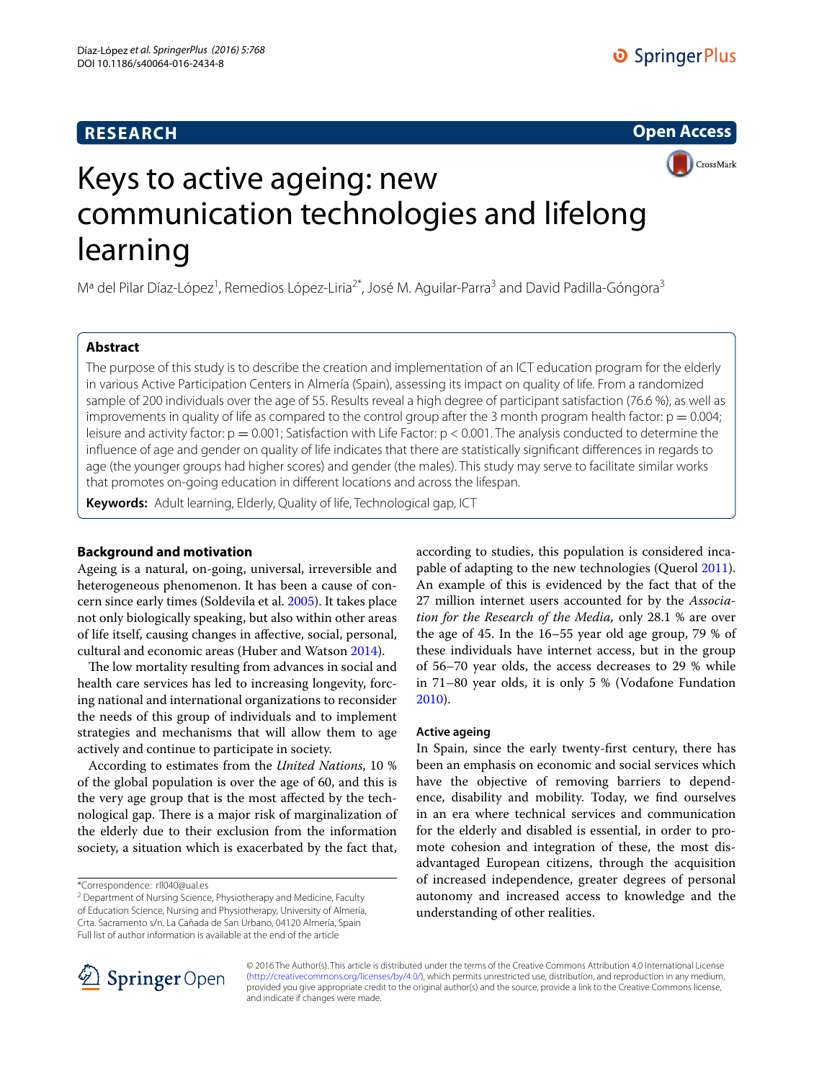# **RESEARCH**

# **Open Access**



# Keys to active ageing: new communication technologies and lifelong learning

Mª del Pilar Díaz-López<sup>1</sup>, Remedios López-Liria<sup>2\*</sup>, José M. Aguilar-Parra<sup>3</sup> and David Padilla-Góngora<sup>3</sup>

# **Abstract**

The purpose of this study is to describe the creation and implementation of an ICT education program for the elderly in various Active Participation Centers in Almería (Spain), assessing its impact on quality of life. From a randomized sample of 200 individuals over the age of 55. Results reveal a high degree of participant satisfaction (76.6 %), as well as improvements in quality of life as compared to the control group after the 3 month program health factor:  $p = 0.004$ ; leisure and activity factor:  $p = 0.001$ ; Satisfaction with Life Factor:  $p < 0.001$ . The analysis conducted to determine the influence of age and gender on quality of life indicates that there are statistically significant differences in regards to age (the younger groups had higher scores) and gender (the males). This study may serve to facilitate similar works that promotes on-going education in different locations and across the lifespan.

**Keywords:** Adult learning, Elderly, Quality of life, Technological gap, ICT

# **Background and motivation**

Ageing is a natural, on-going, universal, irreversible and heterogeneous phenomenon. It has been a cause of concern since early times (Soldevila et al. [2005](#page-7-0)). It takes place not only biologically speaking, but also within other areas of life itself, causing changes in affective, social, personal, cultural and economic areas (Huber and Watson [2014](#page-7-1)).

The low mortality resulting from advances in social and health care services has led to increasing longevity, forcing national and international organizations to reconsider the needs of this group of individuals and to implement strategies and mechanisms that will allow them to age actively and continue to participate in society.

According to estimates from the *United Nations*, 10 % of the global population is over the age of 60, and this is the very age group that is the most affected by the technological gap. There is a major risk of marginalization of the elderly due to their exclusion from the information society, a situation which is exacerbated by the fact that,

according to studies, this population is considered incapable of adapting to the new technologies (Querol [2011](#page-7-2)). An example of this is evidenced by the fact that of the 27 million internet users accounted for by the *Association for the Research of the Media,* only 28.1 % are over the age of 45. In the 16–55 year old age group, 79 % of these individuals have internet access, but in the group of 56–70 year olds, the access decreases to 29 % while in 71–80 year olds, it is only 5 % (Vodafone Fundation [2010](#page-7-3)).

# **Active ageing**

In Spain, since the early twenty-first century, there has been an emphasis on economic and social services which have the objective of removing barriers to dependence, disability and mobility. Today, we find ourselves in an era where technical services and communication for the elderly and disabled is essential, in order to promote cohesion and integration of these, the most disadvantaged European citizens, through the acquisition of increased independence, greater degrees of personal autonomy and increased access to knowledge and the understanding of other realities.



© 2016 The Author(s). This article is distributed under the terms of the Creative Commons Attribution 4.0 International License [\(http://creativecommons.org/licenses/by/4.0/\)](http://creativecommons.org/licenses/by/4.0/), which permits unrestricted use, distribution, and reproduction in any medium, provided you give appropriate credit to the original author(s) and the source, provide a link to the Creative Commons license, and indicate if changes were made.

<sup>\*</sup>Correspondence: rll040@ual.es

<sup>&</sup>lt;sup>2</sup> Department of Nursing Science, Physiotherapy and Medicine, Faculty of Education Science, Nursing and Physiotherapy, University of Almería, Crta. Sacramento s/n. La Cañada de San Urbano, 04120 Almería, Spain Full list of author information is available at the end of the article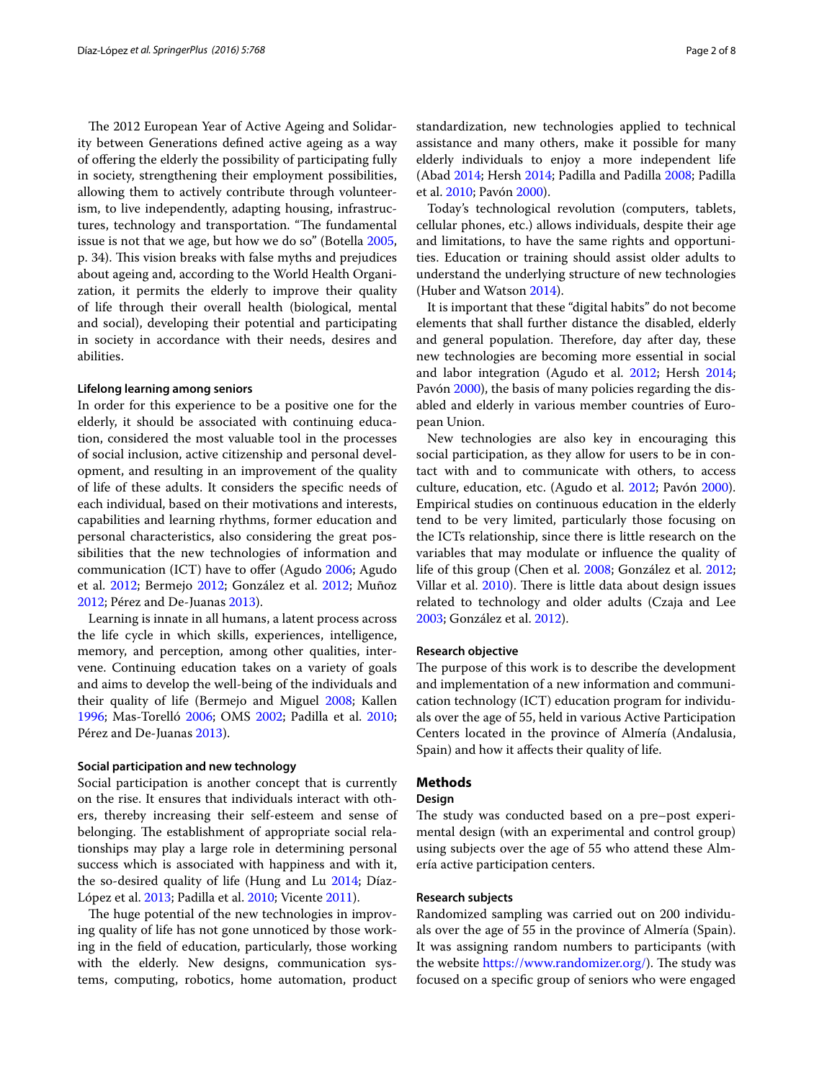The 2012 European Year of Active Ageing and Solidarity between Generations defined active ageing as a way of offering the elderly the possibility of participating fully in society, strengthening their employment possibilities, allowing them to actively contribute through volunteerism, to live independently, adapting housing, infrastructures, technology and transportation. "The fundamental issue is not that we age, but how we do so" (Botella [2005](#page-7-4), p. 34). This vision breaks with false myths and prejudices about ageing and, according to the World Health Organization, it permits the elderly to improve their quality of life through their overall health (biological, mental and social), developing their potential and participating in society in accordance with their needs, desires and abilities.

#### **Lifelong learning among seniors**

In order for this experience to be a positive one for the elderly, it should be associated with continuing education, considered the most valuable tool in the processes of social inclusion, active citizenship and personal development, and resulting in an improvement of the quality of life of these adults. It considers the specific needs of each individual, based on their motivations and interests, capabilities and learning rhythms, former education and personal characteristics, also considering the great possibilities that the new technologies of information and communication (ICT) have to offer (Agudo [2006;](#page-7-5) Agudo et al. [2012](#page-7-6); Bermejo [2012](#page-7-7); González et al. [2012;](#page-7-8) Muñoz [2012](#page-7-9); Pérez and De-Juanas [2013](#page-7-10)).

Learning is innate in all humans, a latent process across the life cycle in which skills, experiences, intelligence, memory, and perception, among other qualities, intervene. Continuing education takes on a variety of goals and aims to develop the well-being of the individuals and their quality of life (Bermejo and Miguel [2008;](#page-7-11) Kallen [1996](#page-7-12); Mas-Torelló [2006;](#page-7-13) OMS [2002;](#page-7-14) Padilla et al. [2010](#page-7-15); Pérez and De-Juanas [2013\)](#page-7-10).

#### **Social participation and new technology**

Social participation is another concept that is currently on the rise. It ensures that individuals interact with others, thereby increasing their self-esteem and sense of belonging. The establishment of appropriate social relationships may play a large role in determining personal success which is associated with happiness and with it, the so-desired quality of life (Hung and Lu [2014](#page-7-16); Díaz-López et al. [2013](#page-7-17); Padilla et al. [2010;](#page-7-15) Vicente [2011](#page-7-18)).

The huge potential of the new technologies in improving quality of life has not gone unnoticed by those working in the field of education, particularly, those working with the elderly. New designs, communication systems, computing, robotics, home automation, product standardization, new technologies applied to technical assistance and many others, make it possible for many elderly individuals to enjoy a more independent life (Abad [2014;](#page-7-19) Hersh [2014;](#page-7-20) Padilla and Padilla [2008](#page-7-21); Padilla et al. [2010](#page-7-15); Pavón [2000\)](#page-7-22).

Today's technological revolution (computers, tablets, cellular phones, etc.) allows individuals, despite their age and limitations, to have the same rights and opportunities. Education or training should assist older adults to understand the underlying structure of new technologies (Huber and Watson [2014](#page-7-1)).

It is important that these "digital habits" do not become elements that shall further distance the disabled, elderly and general population. Therefore, day after day, these new technologies are becoming more essential in social and labor integration (Agudo et al. [2012;](#page-7-6) Hersh [2014](#page-7-20); Pavón [2000\)](#page-7-22), the basis of many policies regarding the disabled and elderly in various member countries of European Union.

New technologies are also key in encouraging this social participation, as they allow for users to be in contact with and to communicate with others, to access culture, education, etc. (Agudo et al. [2012;](#page-7-6) Pavón [2000](#page-7-22)). Empirical studies on continuous education in the elderly tend to be very limited, particularly those focusing on the ICTs relationship, since there is little research on the variables that may modulate or influence the quality of life of this group (Chen et al. [2008](#page-7-23); González et al. [2012](#page-7-8); Villar et al. [2010\)](#page-7-24). There is little data about design issues related to technology and older adults (Czaja and Lee [2003](#page-7-25); González et al. [2012\)](#page-7-8).

#### **Research objective**

The purpose of this work is to describe the development and implementation of a new information and communication technology (ICT) education program for individuals over the age of 55, held in various Active Participation Centers located in the province of Almería (Andalusia, Spain) and how it affects their quality of life.

# **Methods**

#### **Design**

The study was conducted based on a pre–post experimental design (with an experimental and control group) using subjects over the age of 55 who attend these Almería active participation centers.

#### **Research subjects**

Randomized sampling was carried out on 200 individuals over the age of 55 in the province of Almería (Spain). It was assigning random numbers to participants (with the website [https://www.randomizer.org/\)](https://www.randomizer.org/). The study was focused on a specific group of seniors who were engaged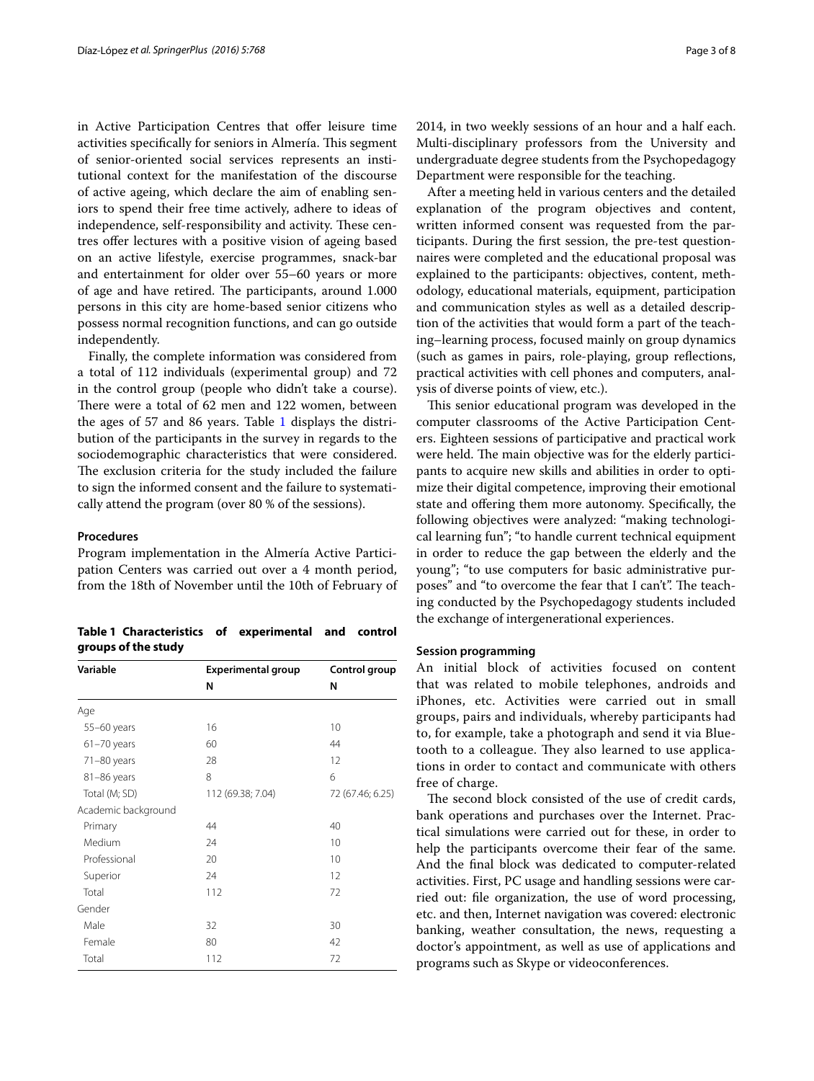in Active Participation Centres that offer leisure time activities specifically for seniors in Almería. This segment of senior-oriented social services represents an institutional context for the manifestation of the discourse of active ageing, which declare the aim of enabling seniors to spend their free time actively, adhere to ideas of independence, self-responsibility and activity. These centres offer lectures with a positive vision of ageing based on an active lifestyle, exercise programmes, snack-bar and entertainment for older over 55–60 years or more of age and have retired. The participants, around 1.000 persons in this city are home-based senior citizens who possess normal recognition functions, and can go outside independently.

Finally, the complete information was considered from a total of 112 individuals (experimental group) and 72 in the control group (people who didn't take a course). There were a total of 62 men and 122 women, between the ages of 57 and 86 years. Table [1](#page-2-0) displays the distribution of the participants in the survey in regards to the sociodemographic characteristics that were considered. The exclusion criteria for the study included the failure to sign the informed consent and the failure to systematically attend the program (over 80 % of the sessions).

#### **Procedures**

Program implementation in the Almería Active Participation Centers was carried out over a 4 month period, from the 18th of November until the 10th of February of

<span id="page-2-0"></span>**Table 1 Characteristics of experimental and control groups of the study**

| Variable            | <b>Experimental group</b> | Control group    |
|---------------------|---------------------------|------------------|
|                     | N                         | N                |
| Age                 |                           |                  |
| 55-60 years         | 16                        | 10               |
| $61 - 70$ years     | 60                        | 44               |
| $71-80$ years       | 28                        | 12               |
| 81-86 years         | 8                         | 6                |
| Total (M; SD)       | 112 (69.38; 7.04)         | 72 (67.46; 6.25) |
| Academic background |                           |                  |
| Primary             | 44                        | 40               |
| Medium              | 24                        | 10               |
| Professional        | 20                        | 10               |
| Superior            | 24                        | 12               |
| Total               | 112                       | 72               |
| Gender              |                           |                  |
| Male                | 32                        | 30               |
| Female              | 80                        | 42               |
| Total               | 112                       | 72               |

2014, in two weekly sessions of an hour and a half each. Multi-disciplinary professors from the University and undergraduate degree students from the Psychopedagogy Department were responsible for the teaching.

After a meeting held in various centers and the detailed explanation of the program objectives and content, written informed consent was requested from the participants. During the first session, the pre-test questionnaires were completed and the educational proposal was explained to the participants: objectives, content, methodology, educational materials, equipment, participation and communication styles as well as a detailed description of the activities that would form a part of the teaching–learning process, focused mainly on group dynamics (such as games in pairs, role-playing, group reflections, practical activities with cell phones and computers, analysis of diverse points of view, etc.).

This senior educational program was developed in the computer classrooms of the Active Participation Centers. Eighteen sessions of participative and practical work were held. The main objective was for the elderly participants to acquire new skills and abilities in order to optimize their digital competence, improving their emotional state and offering them more autonomy. Specifically, the following objectives were analyzed: "making technological learning fun"; "to handle current technical equipment in order to reduce the gap between the elderly and the young"; "to use computers for basic administrative purposes" and "to overcome the fear that I can't". The teaching conducted by the Psychopedagogy students included the exchange of intergenerational experiences.

### **Session programming**

An initial block of activities focused on content that was related to mobile telephones, androids and iPhones, etc. Activities were carried out in small groups, pairs and individuals, whereby participants had to, for example, take a photograph and send it via Bluetooth to a colleague. They also learned to use applications in order to contact and communicate with others free of charge.

The second block consisted of the use of credit cards, bank operations and purchases over the Internet. Practical simulations were carried out for these, in order to help the participants overcome their fear of the same. And the final block was dedicated to computer-related activities. First, PC usage and handling sessions were carried out: file organization, the use of word processing, etc. and then, Internet navigation was covered: electronic banking, weather consultation, the news, requesting a doctor's appointment, as well as use of applications and programs such as Skype or videoconferences.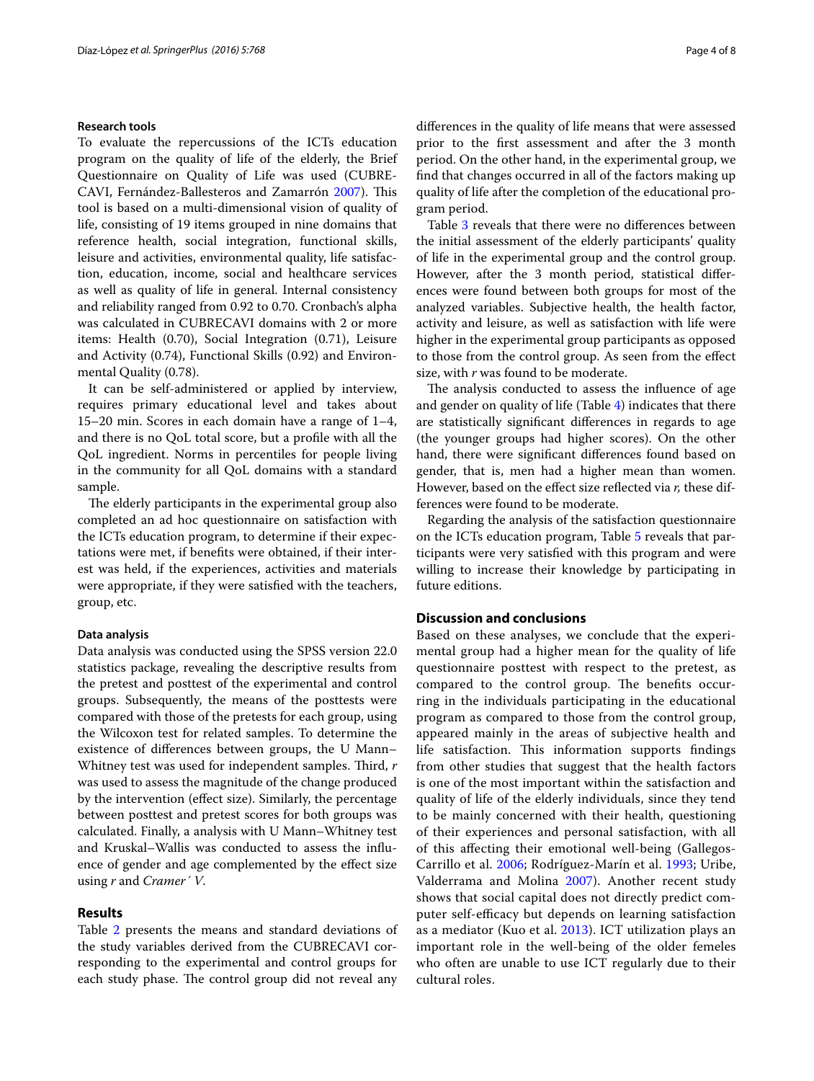#### **Research tools**

To evaluate the repercussions of the ICTs education program on the quality of life of the elderly, the Brief Questionnaire on Quality of Life was used (CUBRE-CAVI, Fernández-Ballesteros and Zamarrón [2007](#page-7-26)). This tool is based on a multi-dimensional vision of quality of life, consisting of 19 items grouped in nine domains that reference health, social integration, functional skills, leisure and activities, environmental quality, life satisfaction, education, income, social and healthcare services as well as quality of life in general. Internal consistency and reliability ranged from 0.92 to 0.70. Cronbach's alpha was calculated in CUBRECAVI domains with 2 or more items: Health (0.70), Social Integration (0.71), Leisure and Activity (0.74), Functional Skills (0.92) and Environmental Quality (0.78).

It can be self-administered or applied by interview, requires primary educational level and takes about 15–20 min. Scores in each domain have a range of 1–4, and there is no QoL total score, but a profile with all the QoL ingredient. Norms in percentiles for people living in the community for all QoL domains with a standard sample.

The elderly participants in the experimental group also completed an ad hoc questionnaire on satisfaction with the ICTs education program, to determine if their expectations were met, if benefits were obtained, if their interest was held, if the experiences, activities and materials were appropriate, if they were satisfied with the teachers, group, etc.

#### **Data analysis**

Data analysis was conducted using the SPSS version 22.0 statistics package, revealing the descriptive results from the pretest and posttest of the experimental and control groups. Subsequently, the means of the posttests were compared with those of the pretests for each group, using the Wilcoxon test for related samples. To determine the existence of differences between groups, the U Mann– Whitney test was used for independent samples. Third, *r* was used to assess the magnitude of the change produced by the intervention (effect size). Similarly, the percentage between posttest and pretest scores for both groups was calculated. Finally, a analysis with U Mann–Whitney test and Kruskal–Wallis was conducted to assess the influence of gender and age complemented by the effect size using *r* and *Cramer´ V*.

#### **Results**

Table [2](#page-4-0) presents the means and standard deviations of the study variables derived from the CUBRECAVI corresponding to the experimental and control groups for each study phase. The control group did not reveal any differences in the quality of life means that were assessed prior to the first assessment and after the 3 month period. On the other hand, in the experimental group, we find that changes occurred in all of the factors making up quality of life after the completion of the educational program period.

Table [3](#page-4-1) reveals that there were no differences between the initial assessment of the elderly participants' quality of life in the experimental group and the control group. However, after the 3 month period, statistical differences were found between both groups for most of the analyzed variables. Subjective health, the health factor, activity and leisure, as well as satisfaction with life were higher in the experimental group participants as opposed to those from the control group. As seen from the effect size, with *r* was found to be moderate.

The analysis conducted to assess the influence of age and gender on quality of life (Table [4](#page-5-0)) indicates that there are statistically significant differences in regards to age (the younger groups had higher scores). On the other hand, there were significant differences found based on gender, that is, men had a higher mean than women. However, based on the effect size reflected via *r,* these differences were found to be moderate.

Regarding the analysis of the satisfaction questionnaire on the ICTs education program, Table [5](#page-6-0) reveals that participants were very satisfied with this program and were willing to increase their knowledge by participating in future editions.

# **Discussion and conclusions**

Based on these analyses, we conclude that the experimental group had a higher mean for the quality of life questionnaire posttest with respect to the pretest, as compared to the control group. The benefits occurring in the individuals participating in the educational program as compared to those from the control group, appeared mainly in the areas of subjective health and life satisfaction. This information supports findings from other studies that suggest that the health factors is one of the most important within the satisfaction and quality of life of the elderly individuals, since they tend to be mainly concerned with their health, questioning of their experiences and personal satisfaction, with all of this affecting their emotional well-being (Gallegos-Carrillo et al. [2006](#page-7-27); Rodríguez-Marín et al. [1993](#page-7-28); Uribe, Valderrama and Molina [2007\)](#page-7-29). Another recent study shows that social capital does not directly predict computer self-efficacy but depends on learning satisfaction as a mediator (Kuo et al. [2013\)](#page-7-30). ICT utilization plays an important role in the well-being of the older femeles who often are unable to use ICT regularly due to their cultural roles.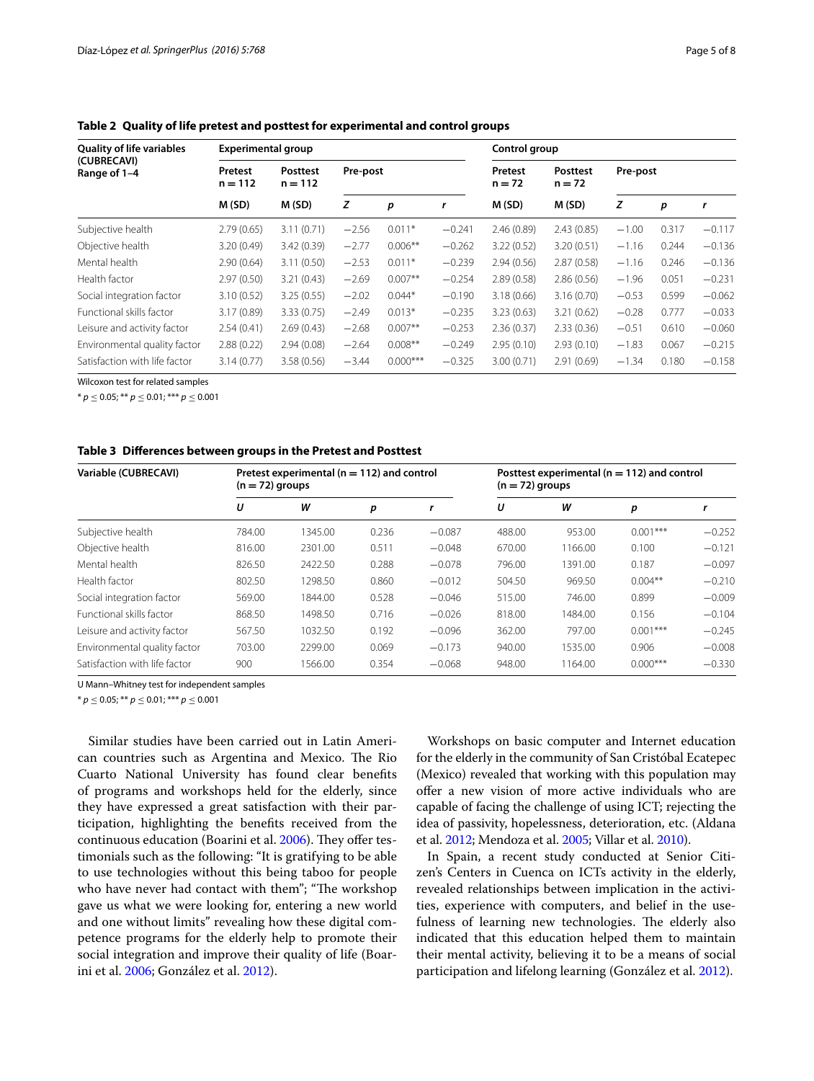| <b>Quality of life variables</b> | <b>Experimental group</b> |                              |          |            |                     | Control group        |            |         |       |          |
|----------------------------------|---------------------------|------------------------------|----------|------------|---------------------|----------------------|------------|---------|-------|----------|
| (CUBRECAVI)<br>Range of 1-4      | Pretest<br>$n = 112$      | <b>Posttest</b><br>$n = 112$ | Pre-post |            | Pretest<br>$n = 72$ | Posttest<br>$n = 72$ | Pre-post   |         |       |          |
|                                  | M(SD)                     | M(SD)                        | z        | р          | r                   | M(SD)                | M(SD)      | z       | p     | r        |
| Subjective health                | 2.79(0.65)                | 3.11(0.71)                   | $-2.56$  | $0.011*$   | $-0.241$            | 2.46(0.89)           | 2.43(0.85) | $-1.00$ | 0.317 | $-0.117$ |
| Objective health                 | 3.20(0.49)                | 3.42(0.39)                   | $-2.77$  | $0.006**$  | $-0.262$            | 3.22(0.52)           | 3.20(0.51) | $-1.16$ | 0.244 | $-0.136$ |
| Mental health                    | 2.90(0.64)                | 3.11(0.50)                   | $-2.53$  | $0.011*$   | $-0.239$            | 2.94(0.56)           | 2.87(0.58) | $-1.16$ | 0.246 | $-0.136$ |
| Health factor                    | 2.97(0.50)                | 3.21(0.43)                   | $-2.69$  | $0.007**$  | $-0.254$            | 2.89(0.58)           | 2.86(0.56) | $-1.96$ | 0.051 | $-0.231$ |
| Social integration factor        | 3.10(0.52)                | 3.25(0.55)                   | $-2.02$  | $0.044*$   | $-0.190$            | 3.18(0.66)           | 3.16(0.70) | $-0.53$ | 0.599 | $-0.062$ |
| Functional skills factor         | 3.17(0.89)                | 3.33(0.75)                   | $-2.49$  | $0.013*$   | $-0.235$            | 3.23(0.63)           | 3.21(0.62) | $-0.28$ | 0.777 | $-0.033$ |
| Leisure and activity factor      | 2.54(0.41)                | 2.69(0.43)                   | $-2.68$  | $0.007**$  | $-0.253$            | 2.36(0.37)           | 2.33(0.36) | $-0.51$ | 0.610 | $-0.060$ |
| Environmental quality factor     | 2.88(0.22)                | 2.94(0.08)                   | $-2.64$  | $0.008**$  | $-0.249$            | 2.95(0.10)           | 2.93(0.10) | $-1.83$ | 0.067 | $-0.215$ |
| Satisfaction with life factor    | 3.14(0.77)                | 3.58(0.56)                   | $-3.44$  | $0.000***$ | $-0.325$            | 3.00(0.71)           | 2.91(0.69) | $-1.34$ | 0.180 | $-0.158$ |

<span id="page-4-0"></span>**Table 2 Quality of life pretest and posttest for experimental and control groups**

Wilcoxon test for related samples

\* *p* ≤ 0.05; \*\* *p* ≤ 0.01; \*\*\* *p* ≤ 0.001

#### <span id="page-4-1"></span>**Table 3 Differences between groups in the Pretest and Posttest**

| Variable (CUBRECAVI)            | $(n = 72)$ groups | Pretest experimental ( $n = 112$ ) and control |       |          | Posttest experimental ( $n = 112$ ) and control<br>$(n = 72)$ groups |         |            |          |
|---------------------------------|-------------------|------------------------------------------------|-------|----------|----------------------------------------------------------------------|---------|------------|----------|
|                                 | U                 | W                                              | р     |          | U                                                                    | W       | р          |          |
| Subjective health               | 784.00            | 1345.00                                        | 0.236 | $-0.087$ | 488.00                                                               | 953.00  | $0.001***$ | $-0.252$ |
| Objective health                | 816.00            | 2301.00                                        | 0.511 | $-0.048$ | 670.00                                                               | 1166.00 | 0.100      | $-0.121$ |
| Mental health                   | 826.50            | 2422.50                                        | 0.288 | $-0.078$ | 796.00                                                               | 1391.00 | 0.187      | $-0.097$ |
| Health factor                   | 802.50            | 1298.50                                        | 0.860 | $-0.012$ | 504.50                                                               | 969.50  | $0.004**$  | $-0.210$ |
| Social integration factor       | 569.00            | 1844.00                                        | 0.528 | $-0.046$ | 515.00                                                               | 746.00  | 0.899      | $-0.009$ |
| <b>Functional skills factor</b> | 868.50            | 1498.50                                        | 0.716 | $-0.026$ | 818.00                                                               | 1484.00 | 0.156      | $-0.104$ |
| Leisure and activity factor     | 567.50            | 1032.50                                        | 0.192 | $-0.096$ | 362.00                                                               | 797.00  | $0.001***$ | $-0.245$ |
| Environmental quality factor    | 703.00            | 2299.00                                        | 0.069 | $-0.173$ | 940.00                                                               | 1535.00 | 0.906      | $-0.008$ |
| Satisfaction with life factor   | 900               | 1566.00                                        | 0.354 | $-0.068$ | 948.00                                                               | 1164.00 | $0.000***$ | $-0.330$ |

U Mann–Whitney test for independent samples

 $* p \le 0.05$ ;  $** p \le 0.01$ ;  $*** p \le 0.001$ 

Similar studies have been carried out in Latin American countries such as Argentina and Mexico. The Rio Cuarto National University has found clear benefits of programs and workshops held for the elderly, since they have expressed a great satisfaction with their participation, highlighting the benefits received from the continuous education (Boarini et al. [2006](#page-7-31)). They offer testimonials such as the following: "It is gratifying to be able to use technologies without this being taboo for people who have never had contact with them"; "The workshop gave us what we were looking for, entering a new world and one without limits" revealing how these digital competence programs for the elderly help to promote their social integration and improve their quality of life (Boarini et al. [2006](#page-7-31); González et al. [2012\)](#page-7-8).

Workshops on basic computer and Internet education for the elderly in the community of San Cristóbal Ecatepec (Mexico) revealed that working with this population may offer a new vision of more active individuals who are capable of facing the challenge of using ICT; rejecting the idea of passivity, hopelessness, deterioration, etc. (Aldana et al. [2012](#page-7-32); Mendoza et al. [2005;](#page-7-33) Villar et al. [2010](#page-7-24)).

In Spain, a recent study conducted at Senior Citizen's Centers in Cuenca on ICTs activity in the elderly, revealed relationships between implication in the activities, experience with computers, and belief in the usefulness of learning new technologies. The elderly also indicated that this education helped them to maintain their mental activity, believing it to be a means of social participation and lifelong learning (González et al. [2012](#page-7-8)).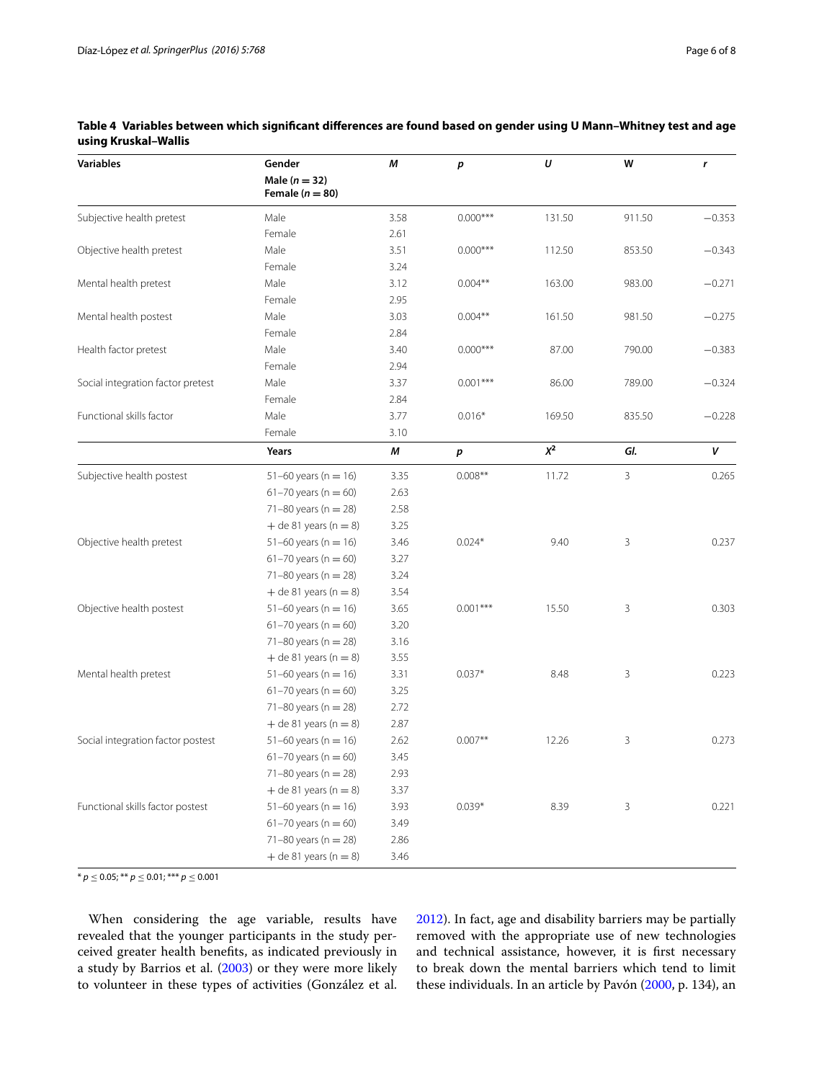| <b>Variables</b>                  | Gender                                   | М    | р          | U      | W      | r        |
|-----------------------------------|------------------------------------------|------|------------|--------|--------|----------|
|                                   | Male ( $n = 32$ )<br>Female ( $n = 80$ ) |      |            |        |        |          |
| Subjective health pretest         | Male                                     | 3.58 | $0.000***$ | 131.50 | 911.50 | $-0.353$ |
|                                   | Female                                   | 2.61 |            |        |        |          |
| Objective health pretest          | Male                                     | 3.51 | $0.000***$ | 112.50 | 853.50 | $-0.343$ |
|                                   | Female                                   | 3.24 |            |        |        |          |
| Mental health pretest             | Male                                     | 3.12 | $0.004**$  | 163.00 | 983.00 | $-0.271$ |
|                                   | Female                                   | 2.95 |            |        |        |          |
| Mental health postest             | Male                                     | 3.03 | $0.004**$  | 161.50 | 981.50 | $-0.275$ |
|                                   | Female                                   | 2.84 |            |        |        |          |
| Health factor pretest             | Male                                     | 3.40 | $0.000***$ | 87.00  | 790.00 | $-0.383$ |
|                                   | Female                                   | 2.94 |            |        |        |          |
| Social integration factor pretest | Male                                     | 3.37 | $0.001***$ | 86.00  | 789.00 | $-0.324$ |
|                                   | Female                                   | 2.84 |            |        |        |          |
| Functional skills factor          | Male                                     | 3.77 | $0.016*$   | 169.50 | 835.50 | $-0.228$ |
|                                   | Female                                   | 3.10 |            |        |        |          |
|                                   | Years                                    | М    | p          | $X^2$  | GI.    | v        |
| Subjective health postest         | 51-60 years ( $n = 16$ )                 | 3.35 | $0.008**$  | 11.72  | 3      | 0.265    |
|                                   | 61-70 years ( $n = 60$ )                 | 2.63 |            |        |        |          |
|                                   | 71-80 years ( $n = 28$ )                 | 2.58 |            |        |        |          |
|                                   | $+$ de 81 years (n = 8)                  | 3.25 |            |        |        |          |
| Objective health pretest          | $51-60$ years (n = 16)                   | 3.46 | $0.024*$   | 9.40   | 3      | 0.237    |
|                                   | $61 - 70$ years (n = 60)                 | 3.27 |            |        |        |          |
|                                   | 71-80 years ( $n = 28$ )                 | 3.24 |            |        |        |          |
|                                   | $+$ de 81 years (n = 8)                  | 3.54 |            |        |        |          |
| Objective health postest          | $51-60$ years (n = 16)                   | 3.65 | $0.001***$ | 15.50  | 3      | 0.303    |
|                                   | 61-70 years ( $n = 60$ )                 | 3.20 |            |        |        |          |
|                                   | 71-80 years ( $n = 28$ )                 | 3.16 |            |        |        |          |
|                                   | $+$ de 81 years (n = 8)                  | 3.55 |            |        |        |          |
| Mental health pretest             | $51-60$ years (n = 16)                   | 3.31 | $0.037*$   | 8.48   | 3      | 0.223    |
|                                   | 61-70 years ( $n = 60$ )                 | 3.25 |            |        |        |          |
|                                   | 71-80 years ( $n = 28$ )                 | 2.72 |            |        |        |          |
|                                   | $+$ de 81 years (n = 8)                  | 2.87 |            |        |        |          |
| Social integration factor postest | 51-60 years ( $n = 16$ )                 | 2.62 | $0.007**$  | 12.26  | 3      | 0.273    |
|                                   | $61 - 70$ years (n = 60)                 | 3.45 |            |        |        |          |
|                                   | 71-80 years ( $n = 28$ )                 | 2.93 |            |        |        |          |
|                                   | $+$ de 81 years (n = 8)                  | 3.37 |            |        |        |          |
| Functional skills factor postest  | 51-60 years ( $n = 16$ )                 | 3.93 | $0.039*$   | 8.39   | 3      | 0.221    |
|                                   | 61-70 years ( $n = 60$ )                 | 3.49 |            |        |        |          |
|                                   | 71-80 years ( $n = 28$ )                 | 2.86 |            |        |        |          |
|                                   | $+$ de 81 years (n = 8)                  | 3.46 |            |        |        |          |

# <span id="page-5-0"></span>**Table 4 Variables between which significant differences are found based on gender using U Mann–Whitney test and age using Kruskal–Wallis**

\* *p* ≤ 0.05; \*\* *p* ≤ 0.01; \*\*\* *p* ≤ 0.001

When considering the age variable, results have revealed that the younger participants in the study perceived greater health benefits, as indicated previously in a study by Barrios et al. [\(2003](#page-7-34)) or they were more likely to volunteer in these types of activities (González et al. [2012](#page-7-8)). In fact, age and disability barriers may be partially removed with the appropriate use of new technologies and technical assistance, however, it is first necessary to break down the mental barriers which tend to limit these individuals. In an article by Pavón ([2000,](#page-7-22) p. 134), an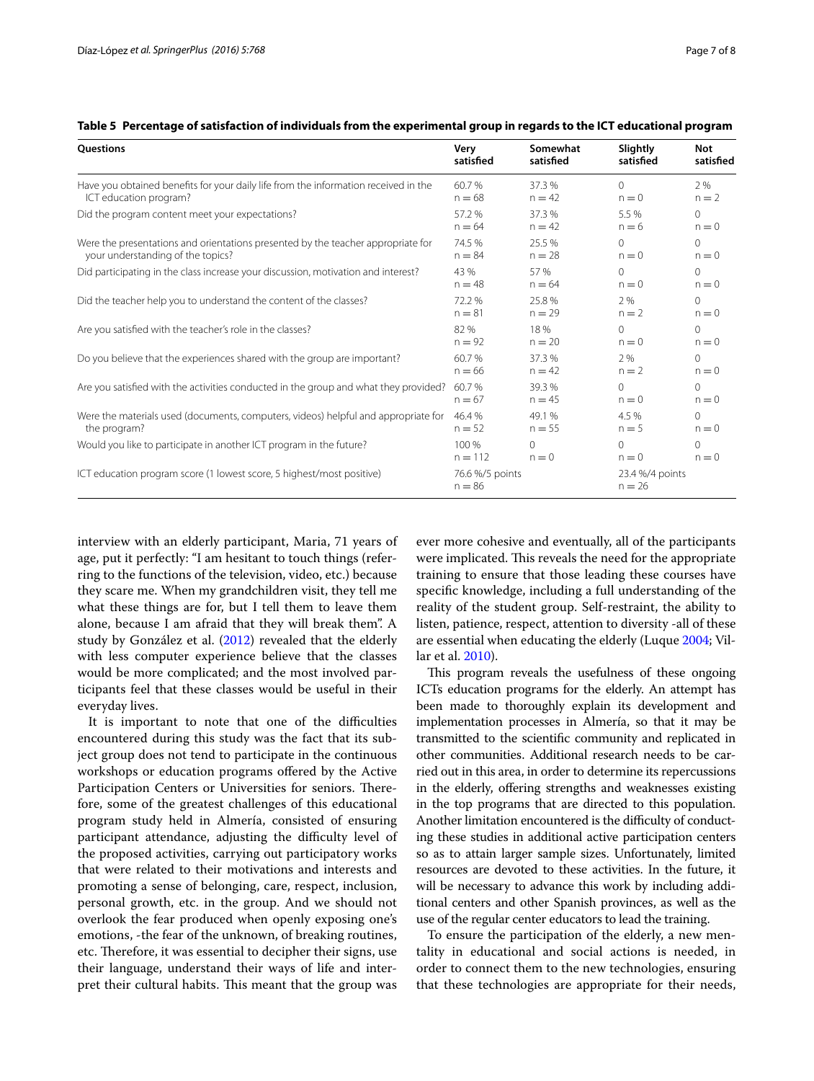| Questions                                                                            | Very                        | Somewhat  | Slightly                    | <b>Not</b> |
|--------------------------------------------------------------------------------------|-----------------------------|-----------|-----------------------------|------------|
|                                                                                      | satisfied                   | satisfied | satisfied                   | satisfied  |
| Have you obtained benefits for your daily life from the information received in the  | 60.7%                       | 37.3 %    | $\Omega$                    | 2%         |
| ICT education program?                                                               | $n = 68$                    | $n = 42$  | $n = 0$                     | $n = 2$    |
| Did the program content meet your expectations?                                      | 57.2 %                      | 37.3%     | 5.5%                        | $\Omega$   |
|                                                                                      | $n = 64$                    | $n = 42$  | $n = 6$                     | $n = 0$    |
| Were the presentations and orientations presented by the teacher appropriate for     | 74.5 %                      | 25.5%     | $\Omega$                    | $\Omega$   |
| your understanding of the topics?                                                    | $n = 84$                    | $n = 28$  | $n = 0$                     | $n = 0$    |
| Did participating in the class increase your discussion, motivation and interest?    | 43 %                        | 57 %      | $\Omega$                    | $\Omega$   |
|                                                                                      | $n = 48$                    | $n = 64$  | $n = 0$                     | $n = 0$    |
| Did the teacher help you to understand the content of the classes?                   | 72.2 %                      | 25.8%     | 2 %                         | $\Omega$   |
|                                                                                      | $n = 81$                    | $n = 29$  | $n = 2$                     | $n = 0$    |
| Are you satisfied with the teacher's role in the classes?                            | 82%                         | 18%       | $\Omega$                    | $\Omega$   |
|                                                                                      | $n = 92$                    | $n = 20$  | $n = 0$                     | $n = 0$    |
| Do you believe that the experiences shared with the group are important?             | 60.7%                       | 37.3%     | 2 %                         | $\Omega$   |
|                                                                                      | $n = 66$                    | $n = 42$  | $n = 2$                     | $n = 0$    |
| Are you satisfied with the activities conducted in the group and what they provided? | 60.7%                       | 39.3%     | $\Omega$                    | $\Omega$   |
|                                                                                      | $n = 67$                    | $n = 45$  | $n = 0$                     | $n = 0$    |
| Were the materials used (documents, computers, videos) helpful and appropriate for   | 46.4%                       | 49.1%     | 4.5 %                       | $\Omega$   |
| the program?                                                                         | $n = 52$                    | $n = 55$  | $n = 5$                     | $n = 0$    |
| Would you like to participate in another ICT program in the future?                  | 100 %                       | $\Omega$  | $\Omega$                    | $\Omega$   |
|                                                                                      | $n = 112$                   | $n = 0$   | $n = 0$                     | $n = 0$    |
| ICT education program score (1 lowest score, 5 highest/most positive)                | 76.6 %/5 points<br>$n = 86$ |           | 23.4 %/4 points<br>$n = 26$ |            |

<span id="page-6-0"></span>

| Table 5 Percentage of satisfaction of individuals from the experimental group in regards to the ICT educational program |  |  |  |
|-------------------------------------------------------------------------------------------------------------------------|--|--|--|
|                                                                                                                         |  |  |  |

interview with an elderly participant, Maria, 71 years of age, put it perfectly: "I am hesitant to touch things (referring to the functions of the television, video, etc.) because they scare me. When my grandchildren visit, they tell me what these things are for, but I tell them to leave them alone, because I am afraid that they will break them". A study by González et al. ([2012](#page-7-8)) revealed that the elderly with less computer experience believe that the classes would be more complicated; and the most involved participants feel that these classes would be useful in their everyday lives.

It is important to note that one of the difficulties encountered during this study was the fact that its subject group does not tend to participate in the continuous workshops or education programs offered by the Active Participation Centers or Universities for seniors. Therefore, some of the greatest challenges of this educational program study held in Almería, consisted of ensuring participant attendance, adjusting the difficulty level of the proposed activities, carrying out participatory works that were related to their motivations and interests and promoting a sense of belonging, care, respect, inclusion, personal growth, etc. in the group. And we should not overlook the fear produced when openly exposing one's emotions, -the fear of the unknown, of breaking routines, etc. Therefore, it was essential to decipher their signs, use their language, understand their ways of life and interpret their cultural habits. This meant that the group was ever more cohesive and eventually, all of the participants were implicated. This reveals the need for the appropriate training to ensure that those leading these courses have specific knowledge, including a full understanding of the reality of the student group. Self-restraint, the ability to listen, patience, respect, attention to diversity -all of these are essential when educating the elderly (Luque [2004](#page-7-35); Villar et al. [2010](#page-7-24)).

This program reveals the usefulness of these ongoing ICTs education programs for the elderly. An attempt has been made to thoroughly explain its development and implementation processes in Almería, so that it may be transmitted to the scientific community and replicated in other communities. Additional research needs to be carried out in this area, in order to determine its repercussions in the elderly, offering strengths and weaknesses existing in the top programs that are directed to this population. Another limitation encountered is the difficulty of conducting these studies in additional active participation centers so as to attain larger sample sizes. Unfortunately, limited resources are devoted to these activities. In the future, it will be necessary to advance this work by including additional centers and other Spanish provinces, as well as the use of the regular center educators to lead the training.

To ensure the participation of the elderly, a new mentality in educational and social actions is needed, in order to connect them to the new technologies, ensuring that these technologies are appropriate for their needs,